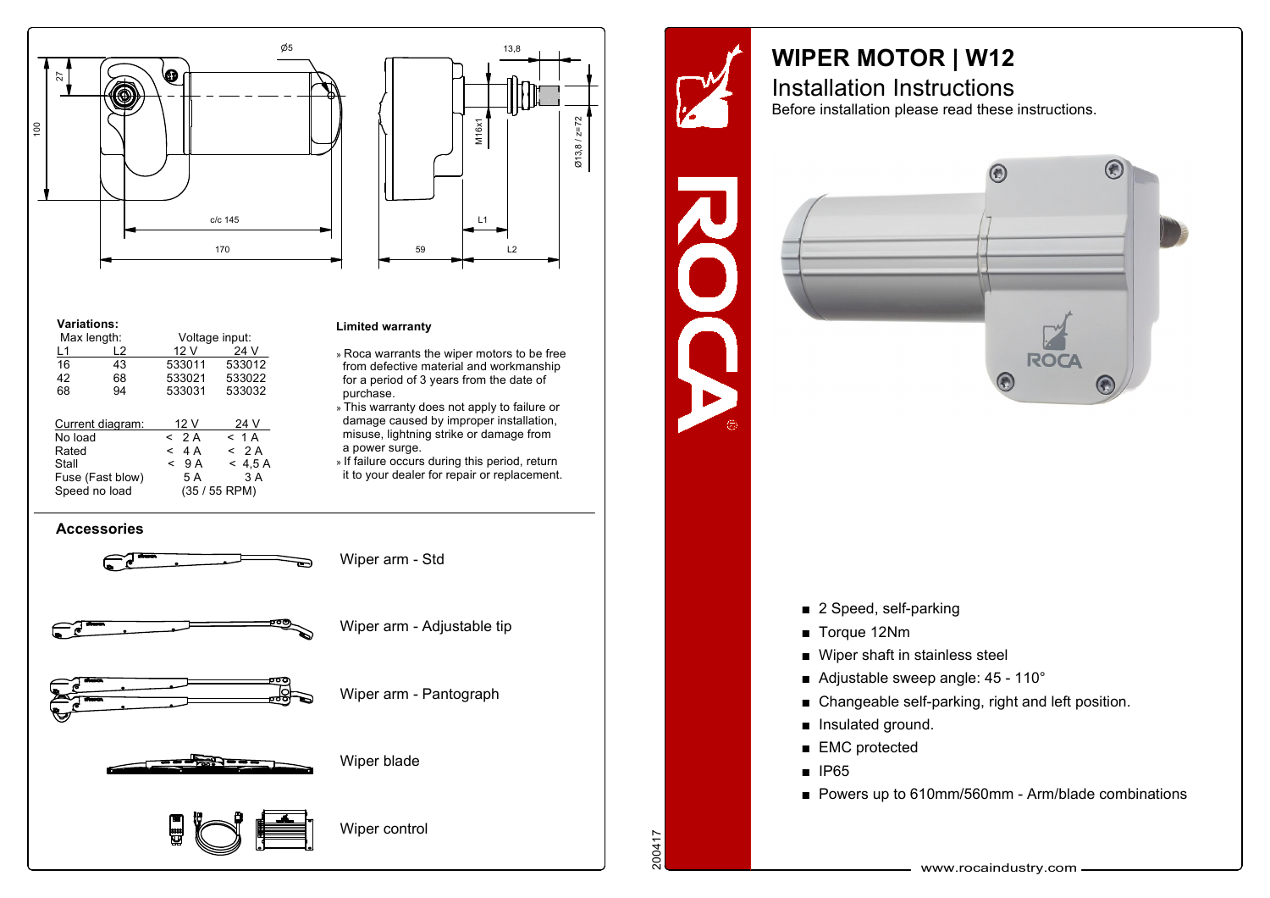



## **Variations:**

| Max length:      |    | Voltage input: |         |
|------------------|----|----------------|---------|
| L1               | L2 | 12 V           | 24 V    |
| 16               | 43 | 533011         | 533012  |
| 42               | 68 | 533021         | 533022  |
| 68               | 94 | 533031         | 533032  |
| Current diagram: |    | 12 V           | 24 V    |
| No load          |    | < 2A           | $<$ 1 A |
| Rated            |    | $<$ 4 A        | < 2A    |
| Stall            |    | 9 A<br><       | < 4.5 A |
| Fuse (Fast blow) |    | 5 A            | 3 A     |
| Speed no load    |    | $(35/55$ RPM)  |         |

## **Limited warranty**

- » Roca warrants the wiper motors to be free from defective material and workmanship for <sup>a</sup> period of 3 years from the date of purchase.
- » This warranty does not apply to failure or damage caused by improper installation, misuse, lightning strike or damage from a power surge.
- » If failure occurs during this period, return it to your dealer for repair or replacement.





## **WIPER MOTOR | W12** Installation Instructions

Before installation please read these instructions.

 $\bigodot$ 

**ROCA** 

 $\bigodot$ 

C



- $\blacksquare$  Torque 12Nm
- $\blacksquare$  Wiper shaft in stainless steel
- Adjustable sweep angle:  $45 110^{\circ}$
- $\blacksquare$  Changeable self-parking, right and left position.
- **n** Insulated ground.
- $\blacksquare$  EMC protected
- $\blacksquare$  IP65

200417

 $\blacksquare$  Powers up to 610mm/560mm - Arm/blade combinations

www.rocaindustry.com